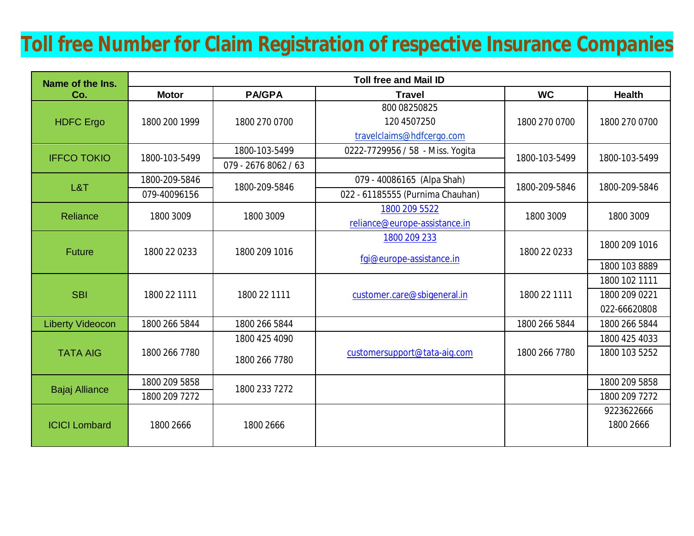## **Toll free Number for Claim Registration of respective Insurance Companies**

| Name of the Ins.        | <b>Toll free and Mail ID</b> |                      |                                                          |               |                                                |  |  |
|-------------------------|------------------------------|----------------------|----------------------------------------------------------|---------------|------------------------------------------------|--|--|
| Co.                     | <b>Motor</b>                 | <b>PA/GPA</b>        | <b>Travel</b>                                            | <b>WC</b>     | <b>Health</b>                                  |  |  |
| <b>HDFC</b> Ergo        | 1800 200 1999                | 1800 270 0700        | 800 08250825<br>120 4507250<br>travelclaims@hdfcergo.com | 1800 270 0700 | 1800 270 0700                                  |  |  |
| <b>IFFCO TOKIO</b>      | 1800-103-5499                | 1800-103-5499        | 0222-7729956 / 58 - Miss. Yogita                         | 1800-103-5499 | 1800-103-5499                                  |  |  |
|                         |                              | 079 - 2676 8062 / 63 |                                                          |               |                                                |  |  |
| L&T                     | 1800-209-5846                | 1800-209-5846        | 079 - 40086165 (Alpa Shah)                               | 1800-209-5846 | 1800-209-5846                                  |  |  |
|                         | 079-40096156                 |                      | 022 - 61185555 (Purnima Chauhan)                         |               |                                                |  |  |
| Reliance                | 1800 3009                    | 1800 3009            | 1800 209 5522<br>reliance@europe-assistance.in           | 1800 3009     | 1800 3009                                      |  |  |
| <b>Future</b>           | 1800 22 0233                 | 1800 209 1016        | 1800 209 233<br>fgi@europe-assistance.in                 | 1800 22 0233  | 1800 209 1016                                  |  |  |
|                         |                              |                      |                                                          |               | 1800 103 8889                                  |  |  |
| <b>SBI</b>              | 1800 22 1111                 | 1800 22 1111         | customer.care@sbigeneral.in                              | 1800 22 1111  | 1800 102 1111<br>1800 209 0221<br>022-66620808 |  |  |
| <b>Liberty Videocon</b> | 1800 266 5844                | 1800 266 5844        |                                                          | 1800 266 5844 | 1800 266 5844                                  |  |  |
| <b>TATA AIG</b>         | 1800 266 7780                | 1800 425 4090        | customersupport@tata-aig.com                             | 1800 266 7780 | 1800 425 4033                                  |  |  |
|                         |                              | 1800 266 7780        |                                                          |               | 1800 103 5252                                  |  |  |
| <b>Bajaj Alliance</b>   | 1800 209 5858                | 1800 233 7272        |                                                          |               | 1800 209 5858                                  |  |  |
|                         | 1800 209 7272                |                      |                                                          |               | 1800 209 7272                                  |  |  |
| <b>ICICI Lombard</b>    | 1800 2666                    | 1800 2666            |                                                          |               | 9223622666<br>1800 2666                        |  |  |